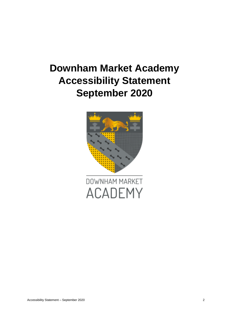# **Downham Market Academy Accessibility Statement September 2020**

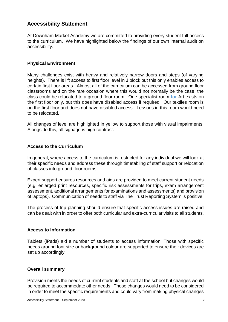# **Accessibility Statement**

At Downham Market Academy we are committed to providing every student full access to the curriculum. We have highlighted below the findings of our own internal audit on accessibility.

# **Physical Environment**

Many challenges exist with heavy and relatively narrow doors and steps (of varying heights). There is lift access to first floor level in J block but this only enables access to certain first floor areas. Almost all of the curriculum can be accessed from ground floor classrooms and on the rare occasion where this would not normally be the case, the class could be relocated to a ground floor room. One specialist room **for** Art exists on the first floor only, but this does have disabled access if required. Our textiles room is on the first floor and does not have disabled access. Lessons in this room would need to be relocated.

All changes of level are highlighted in yellow to support those with visual impairments. Alongside this, all signage is high contrast.

# **Access to the Curriculum**

In general, where access to the curriculum is restricted for any individual we will look at their specific needs and address these through timetabling of staff support or relocation of classes into ground floor rooms.

Expert support ensures resources and aids are provided to meet current student needs (e.g. enlarged print resources, specific risk assessments for trips, exam arrangement assessment, additional arrangements for examinations and assessments) and provision of laptops). Communication of needs to staff via The Trust Reporting System is positive.

The process of trip planning should ensure that specific access issues are raised and can be dealt with in order to offer both curricular and extra-curricular visits to all students.

# **Access to Information**

Tablets (iPads) aid a number of students to access information. Those with specific needs around font size or background colour are supported to ensure their devices are set up accordingly.

# **Overall summary**

Provision meets the needs of current students and staff at the school but changes would be required to accommodate other needs. Those changes would need to be considered in order to meet the specific requirements and could vary from making physical changes